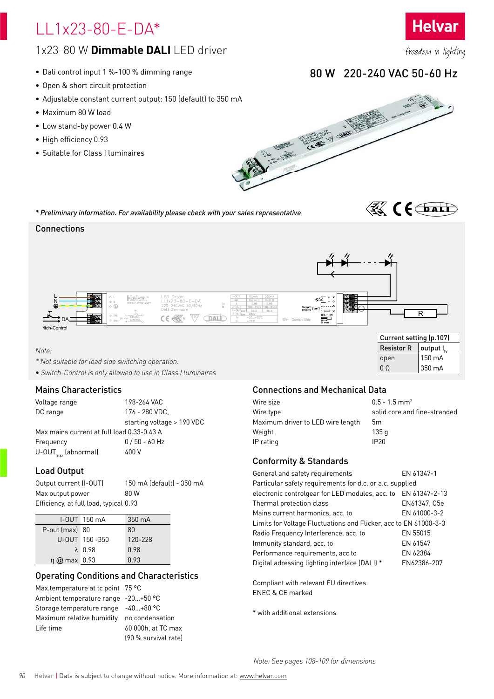# LL1x23-80-E-DA\*



- Dali control input 1 %-100 % dimming range
- Open & short circuit protection
- Adjustable constant current output: 150 (default) to 350 mA
- Maximum 80 W load
- Low stand-by power 0.4 W
- High efficiency 0.93
- Suitable for Class I luminaires

*\* Preliminary information. For availability please check with your sales representative*

### **Connections**



### *Note:*

- *\* Not suitable for load side switching operation.*
- *Switch-Control is only allowed to use in Class I luminaires*

### Mains Characteristics

Voltage range 198-264 VAC DC range 176 - 280 VDC, starting voltage > 190 VDC Max mains current at full load 0.33-0.43 A Frequency 0 / 50 - 60 Hz U-OUTmax (abnormal) 400 V

### Load Output

| Output current (I-OUT)                 | 150 mA (default) - 350 mA |
|----------------------------------------|---------------------------|
| Max output power                       | 80 W                      |
| Efficiency, at full load, typical 0.93 |                           |

|                          | $I-OUT$ 150 $mA$ | $350 \text{ mA}$ |
|--------------------------|------------------|------------------|
| $P$ -out (max) 80        |                  | 80               |
|                          | U-OUT 150-350    | 120-228          |
|                          | $\lambda$ 0.98   | 0.98             |
| $\eta$ $\omega$ max 0.93 |                  | 0.93             |

### Operating Conditions and Characteristics

Max.temperature at tc point 75 °C Ambient temperature range -20…+50 °C Storage temperature range -40…+80 °C Maximum relative humidity no condensation Life time 60 000h, at TC max

(90 % survival rate)

### Connections and Mechanical Data

| $0.5 - 1.5$ mm <sup>2</sup>  |
|------------------------------|
| solid core and fine-stranded |
| 5m                           |
| 135 g                        |
| IP <sub>20</sub>             |
|                              |

Resistor R | output  $I_{c}$ open  $150 \text{ mA}$  $0 \Omega$  350 mA

**K** (foat)

### Conformity & Standards

| General and safety requirements                                  | EN 61347-1    |  |
|------------------------------------------------------------------|---------------|--|
| Particular safety requirements for d.c. or a.c. supplied         |               |  |
| electronic controlgear for LED modules, acc. to                  | EN 61347-2-13 |  |
| Thermal protection class                                         | EN61347, C5e  |  |
| Mains current harmonics, acc. to                                 | EN 61000-3-2  |  |
| Limits for Voltage Fluctuations and Flicker, acc to EN 61000-3-3 |               |  |
| Radio Frequency Interference, acc. to                            | EN 55015      |  |
| Immunity standard, acc. to                                       | EN 61547      |  |
| Performance requirements, acc to                                 | EN 62384      |  |
| Digital adressing lighting interface (DALI) *                    | EN62386-207   |  |

Compliant with relevant EU directives ENEC & CE marked

\* with additional extensions

freedom in lighting

**Helvar** 

## 80 W 220-240 VAC 50-60 Hz



*Note: See pages 108-109 for dimensions*